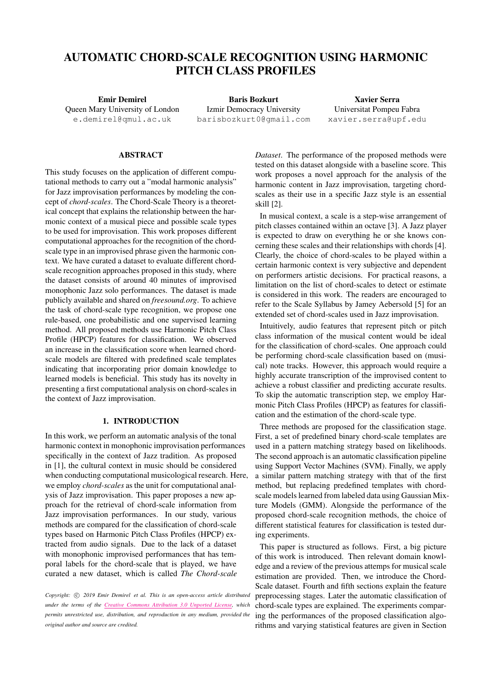# AUTOMATIC CHORD-SCALE RECOGNITION USING HARMONIC PITCH CLASS PROFILES

Emir Demirel Queen Mary University of London [e.demirel@qmul.ac.uk](mailto:e.demirel@qmul.ac.uk)

Baris Bozkurt Izmir Democracy University [barisbozkurt0@gmail.com](mailto:barisbozkurt0@gmail.com)

Xavier Serra Universitat Pompeu Fabra [xavier.serra@upf.edu](mailto:xavier.serra@upf.edu)

## ABSTRACT

This study focuses on the application of different computational methods to carry out a "modal harmonic analysis" for Jazz improvisation performances by modeling the concept of *chord-scales*. The Chord-Scale Theory is a theoretical concept that explains the relationship between the harmonic context of a musical piece and possible scale types to be used for improvisation. This work proposes different computational approaches for the recognition of the chordscale type in an improvised phrase given the harmonic context. We have curated a dataset to evaluate different chordscale recognition approaches proposed in this study, where the dataset consists of around 40 minutes of improvised monophonic Jazz solo performances. The dataset is made publicly available and shared on *freesound.org*. To achieve the task of chord-scale type recognition, we propose one rule-based, one probabilistic and one supervised learning method. All proposed methods use Harmonic Pitch Class Profile (HPCP) features for classification. We observed an increase in the classification score when learned chordscale models are filtered with predefined scale templates indicating that incorporating prior domain knowledge to learned models is beneficial. This study has its novelty in presenting a first computational analysis on chord-scales in the context of Jazz improvisation.

## 1. INTRODUCTION

In this work, we perform an automatic analysis of the tonal harmonic context in monophonic improvisation performances specifically in the context of Jazz tradition. As proposed in [\[1\]](#page-6-0), the cultural context in music should be considered when conducting computational musicological research. Here, we employ *chord-scales* as the unit for computational analysis of Jazz improvisation. This paper proposes a new approach for the retrieval of chord-scale information from Jazz improvisation performances. In our study, various methods are compared for the classification of chord-scale types based on Harmonic Pitch Class Profiles (HPCP) extracted from audio signals. Due to the lack of a dataset with monophonic improvised performances that has temporal labels for the chord-scale that is played, we have curated a new dataset, which is called *The Chord-scale*

*Copyright:* (C) 2019 *Emir Demirel et al. This is an open-access article distributed under the terms of the Creative Commons [Attribution](http://creativecommons.org/licenses/by/3.0/) 3.0 Unported License, which permits unrestricted use, distribution, and reproduction in any medium, provided the original author and source are credited.*

*Dataset*. The performance of the proposed methods were tested on this dataset alongside with a baseline score. This work proposes a novel approach for the analysis of the harmonic content in Jazz improvisation, targeting chordscales as their use in a specific Jazz style is an essential skill [\[2\]](#page-6-1).

In musical context, a scale is a step-wise arrangement of pitch classes contained within an octave [\[3\]](#page-6-2). A Jazz player is expected to draw on everything he or she knows concerning these scales and their relationships with chords [\[4\]](#page-6-3). Clearly, the choice of chord-scales to be played within a certain harmonic context is very subjective and dependent on performers artistic decisions. For practical reasons, a limitation on the list of chord-scales to detect or estimate is considered in this work. The readers are encouraged to refer to the Scale Syllabus by Jamey Aebersold [\[5\]](#page-6-4) for an extended set of chord-scales used in Jazz improvisation.

Intuitively, audio features that represent pitch or pitch class information of the musical content would be ideal for the classification of chord-scales. One approach could be performing chord-scale classification based on (musical) note tracks. However, this approach would require a highly accurate transcription of the improvised content to achieve a robust classifier and predicting accurate results. To skip the automatic transcription step, we employ Harmonic Pitch Class Profiles (HPCP) as features for classification and the estimation of the chord-scale type.

Three methods are proposed for the classification stage. First, a set of predefined binary chord-scale templates are used in a pattern matching strategy based on likelihoods. The second approach is an automatic classification pipeline using Support Vector Machines (SVM). Finally, we apply a similar pattern matching strategy with that of the first method, but replacing predefined templates with chordscale models learned from labeled data using Gaussian Mixture Models (GMM). Alongside the performance of the proposed chord-scale recognition methods, the choice of different statistical features for classification is tested during experiments.

This paper is structured as follows. First, a big picture of this work is introduced. Then relevant domain knowledge and a review of the previous attemps for musical scale estimation are provided. Then, we introduce the Chord-Scale dataset. Fourth and fifth sections explain the feature preprocessing stages. Later the automatic classification of chord-scale types are explained. The experiments comparing the performances of the proposed classification algorithms and varying statistical features are given in Section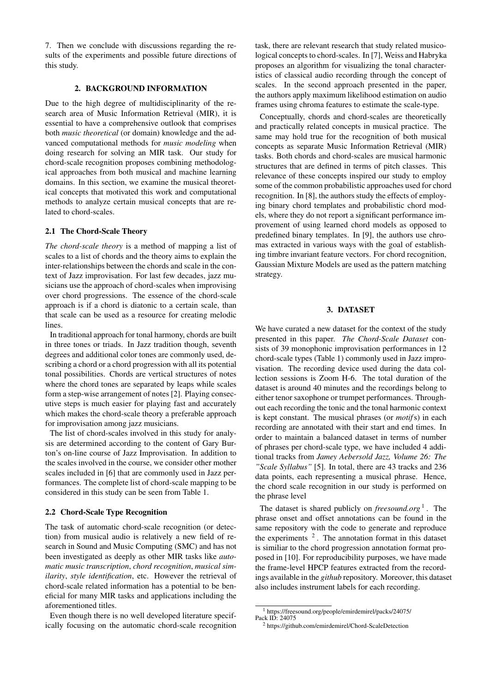7. Then we conclude with discussions regarding the results of the experiments and possible future directions of this study.

# 2. BACKGROUND INFORMATION

Due to the high degree of multidisciplinarity of the research area of Music Information Retrieval (MIR), it is essential to have a comprehensive outlook that comprises both *music theoretical* (or domain) knowledge and the advanced computational methods for *music modeling* when doing research for solving an MIR task. Our study for chord-scale recognition proposes combining methodological approaches from both musical and machine learning domains. In this section, we examine the musical theoretical concepts that motivated this work and computational methods to analyze certain musical concepts that are related to chord-scales.

## 2.1 The Chord-Scale Theory

*The chord-scale theory* is a method of mapping a list of scales to a list of chords and the theory aims to explain the inter-relationships between the chords and scale in the context of Jazz improvisation. For last few decades, jazz musicians use the approach of chord-scales when improvising over chord progressions. The essence of the chord-scale approach is if a chord is diatonic to a certain scale, than that scale can be used as a resource for creating melodic lines.

In traditional approach for tonal harmony, chords are built in three tones or triads. In Jazz tradition though, seventh degrees and additional color tones are commonly used, describing a chord or a chord progression with all its potential tonal possibilities. Chords are vertical structures of notes where the chord tones are separated by leaps while scales form a step-wise arrangement of notes [\[2\]](#page-6-1). Playing consecutive steps is much easier for playing fast and accurately which makes the chord-scale theory a preferable approach for improvisation among jazz musicians.

The list of chord-scales involved in this study for analysis are determined according to the content of Gary Burton's on-line course of Jazz Improvisation. In addition to the scales involved in the course, we consider other mother scales included in [\[6\]](#page-6-5) that are commonly used in Jazz performances. The complete list of chord-scale mapping to be considered in this study can be seen from Table 1.

#### 2.2 Chord-Scale Type Recognition

The task of automatic chord-scale recognition (or detection) from musical audio is relatively a new field of research in Sound and Music Computing (SMC) and has not been investigated as deeply as other MIR tasks like *automatic music transcription*, *chord recognition*, *musical similarity*, *style identification*, etc. However the retrieval of chord-scale related information has a potential to be beneficial for many MIR tasks and applications including the aforementioned titles.

Even though there is no well developed literature specifically focusing on the automatic chord-scale recognition task, there are relevant research that study related musicological concepts to chord-scales. In [\[7\]](#page-6-6), Weiss and Habryka proposes an algorithm for visualizing the tonal characteristics of classical audio recording through the concept of scales. In the second approach presented in the paper, the authors apply maximum likelihood estimation on audio frames using chroma features to estimate the scale-type.

Conceptually, chords and chord-scales are theoretically and practically related concepts in musical practice. The same may hold true for the recognition of both musical concepts as separate Music Information Retrieval (MIR) tasks. Both chords and chord-scales are musical harmonic structures that are defined in terms of pitch classes. This relevance of these concepts inspired our study to employ some of the common probabilistic approaches used for chord recognition. In [\[8\]](#page-6-7), the authors study the effects of employing binary chord templates and probabilistic chord models, where they do not report a significant performance improvement of using learned chord models as opposed to predefined binary templates. In [\[9\]](#page-6-8), the authors use chromas extracted in various ways with the goal of establishing timbre invariant feature vectors. For chord recognition, Gaussian Mixture Models are used as the pattern matching strategy.

# 3. DATASET

We have curated a new dataset for the context of the study presented in this paper. *The Chord-Scale Dataset* consists of 39 monophonic improvisation performances in 12 chord-scale types (Table 1) commonly used in Jazz improvisation. The recording device used during the data collection sessions is Zoom H-6. The total duration of the dataset is around 40 minutes and the recordings belong to either tenor saxophone or trumpet performances. Throughout each recording the tonic and the tonal harmonic context is kept constant. The musical phrases (or *motif*s) in each recording are annotated with their start and end times. In order to maintain a balanced dataset in terms of number of phrases per chord-scale type, we have included 4 additional tracks from *Jamey Aebersold Jazz, Volume 26: The "Scale Syllabus"* [\[5\]](#page-6-4). In total, there are 43 tracks and 236 data points, each representing a musical phrase. Hence, the chord scale recognition in our study is performed on the phrase level

The dataset is shared publicly on *freesound.org* [1](#page-1-0) . The phrase onset and offset annotations can be found in the same repository with the code to generate and reproduce the experiments  $2$ . The annotation format in this dataset is similiar to the chord progression annotation format proposed in [\[10\]](#page-6-9). For reproducibility purposes, we have made the frame-level HPCP features extracted from the recordings available in the *github* repository. Moreover, this dataset also includes instrument labels for each recording.

<span id="page-1-0"></span><sup>1</sup> https://freesound.org/people/emirdemirel/packs/24075/ Pack ID: 24075

<span id="page-1-1"></span><sup>2</sup> https://github.com/emirdemirel/Chord-ScaleDetection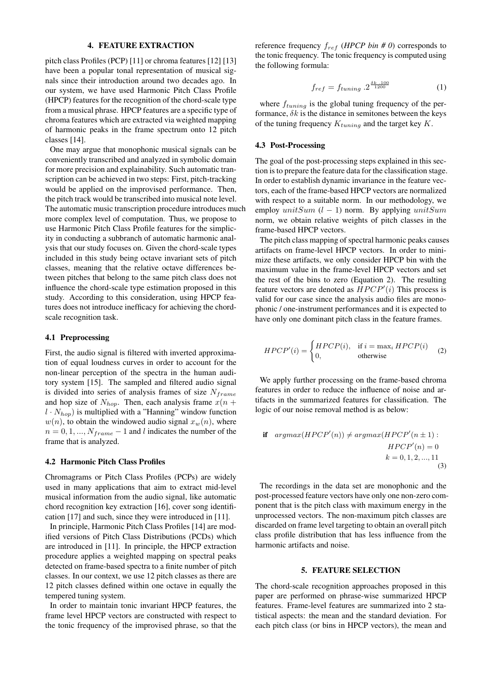## 4. FEATURE EXTRACTION

pitch class Profiles (PCP) [\[11\]](#page-6-10) or chroma features [\[12\]](#page-6-11) [\[13\]](#page-6-12) have been a popular tonal representation of musical signals since their introduction around two decades ago. In our system, we have used Harmonic Pitch Class Profile (HPCP) features for the recognition of the chord-scale type from a musical phrase. HPCP features are a specific type of chroma features which are extracted via weighted mapping of harmonic peaks in the frame spectrum onto 12 pitch classes [\[14\]](#page-6-13).

One may argue that monophonic musical signals can be conveniently transcribed and analyzed in symbolic domain for more precision and explainability. Such automatic transcription can be achieved in two steps: First, pitch-tracking would be applied on the improvised performance. Then, the pitch track would be transcribed into musical note level. The automatic music transcription procedure introduces much more complex level of computation. Thus, we propose to use Harmonic Pitch Class Profile features for the simplicity in conducting a subbranch of automatic harmonic analysis that our study focuses on. Given the chord-scale types included in this study being octave invariant sets of pitch classes, meaning that the relative octave differences between pitches that belong to the same pitch class does not influence the chord-scale type estimation proposed in this study. According to this consideration, using HPCP features does not introduce inefficacy for achieving the chordscale recognition task.

## 4.1 Preprocessing

First, the audio signal is filtered with inverted approximation of equal loudness curves in order to account for the non-linear perception of the spectra in the human auditory system [\[15\]](#page-6-14). The sampled and filtered audio signal is divided into series of analysis frames of size  $N_{frame}$ and hop size of  $N_{hop}$ . Then, each analysis frame  $x(n +$  $l \cdot N_{hop}$ ) is multiplied with a "Hanning" window function  $w(n)$ , to obtain the windowed audio signal  $x_w(n)$ , where  $n = 0, 1, ..., N_{frame} - 1$  and l indicates the number of the frame that is analyzed.

## 4.2 Harmonic Pitch Class Profiles

Chromagrams or Pitch Class Profiles (PCPs) are widely used in many applications that aim to extract mid-level musical information from the audio signal, like automatic chord recognition key extraction [\[16\]](#page-6-15), cover song identification [\[17\]](#page-6-16) and such, since they were introduced in [\[11\]](#page-6-10).

In principle, Harmonic Pitch Class Profiles [\[14\]](#page-6-13) are modified versions of Pitch Class Distributions (PCDs) which are introduced in [\[11\]](#page-6-10). In principle, the HPCP extraction procedure applies a weighted mapping on spectral peaks detected on frame-based spectra to a finite number of pitch classes. In our context, we use 12 pitch classes as there are 12 pitch classes defined within one octave in equally the tempered tuning system.

In order to maintain tonic invariant HPCP features, the frame level HPCP vectors are constructed with respect to the tonic frequency of the improvised phrase, so that the

reference frequency  $f_{ref}$  (*HPCP bin # 0*) corresponds to the tonic frequency. The tonic frequency is computed using the following formula:

$$
f_{ref} = f_{tuning} \cdot 2^{\frac{\delta k \cdot 100}{1200}} \tag{1}
$$

where  $f_{tuning}$  is the global tuning frequency of the performance,  $\delta k$  is the distance in semitones between the keys of the tuning frequency  $K_{tuning}$  and the target key K.

#### 4.3 Post-Processing

The goal of the post-processing steps explained in this section is to prepare the feature data for the classification stage. In order to establish dynamic invariance in the feature vectors, each of the frame-based HPCP vectors are normalized with respect to a suitable norm. In our methodology, we employ unitSum  $(l - 1)$  norm. By applying unitSum norm, we obtain relative weights of pitch classes in the frame-based HPCP vectors.

The pitch class mapping of spectral harmonic peaks causes artifacts on frame-level HPCP vectors. In order to minimize these artifacts, we only consider HPCP bin with the maximum value in the frame-level HPCP vectors and set the rest of the bins to zero (Equation [2\)](#page-2-0). The resulting feature vectors are denoted as  $HPCP'(i)$  This process is valid for our case since the analysis audio files are monophonic / one-instrument performances and it is expected to have only one dominant pitch class in the feature frames.

<span id="page-2-0"></span>
$$
HPCP'(i) = \begin{cases} HPCP(i), & \text{if } i = \max_i HPCP(i) \\ 0, & \text{otherwise} \end{cases}
$$
 (2)

We apply further processing on the frame-based chroma features in order to reduce the influence of noise and artifacts in the summarized features for classification. The logic of our noise removal method is as below:

$$
\text{if } \operatorname{argmax}(HPCP'(n)) \neq \operatorname{argmax}(HPCP'(n \pm 1):
$$
\n
$$
HPCP'(n) = 0
$$
\n
$$
k = 0, 1, 2, ..., 11
$$
\n(3)

The recordings in the data set are monophonic and the post-processed feature vectors have only one non-zero component that is the pitch class with maximum energy in the unprocessed vectors. The non-maximum pitch classes are discarded on frame level targeting to obtain an overall pitch class profile distribution that has less influence from the harmonic artifacts and noise.

# 5. FEATURE SELECTION

The chord-scale recognition approaches proposed in this paper are performed on phrase-wise summarized HPCP features. Frame-level features are summarized into 2 statistical aspects: the mean and the standard deviation. For each pitch class (or bins in HPCP vectors), the mean and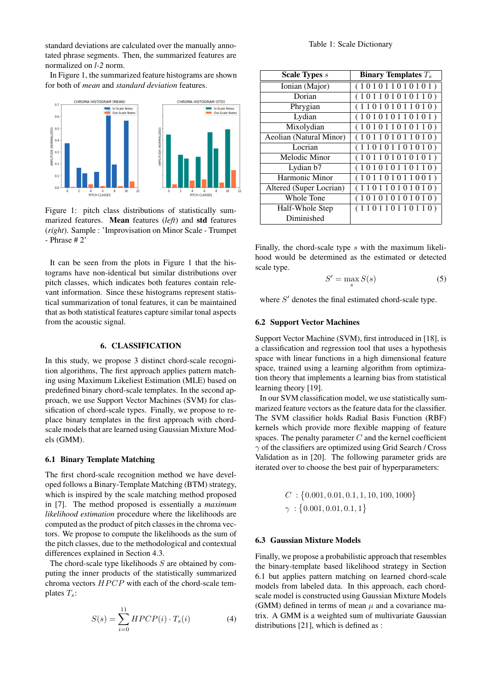standard deviations are calculated over the manually annotated phrase segments. Then, the summarized features are normalized on *l-2* norm.

In Figure 1, the summarized feature histograms are shown for both of *mean* and *standard deviation* features.



Figure 1: pitch class distributions of statistically summarized features. Mean features (*left*) and std features (*right*). Sample : 'Improvisation on Minor Scale - Trumpet - Phrase # 2'

It can be seen from the plots in Figure 1 that the histograms have non-identical but similar distributions over pitch classes, which indicates both features contain relevant information. Since these histograms represent statistical summarization of tonal features, it can be maintained that as both statistical features capture similar tonal aspects from the acoustic signal.

## 6. CLASSIFICATION

In this study, we propose 3 distinct chord-scale recognition algorithms, The first approach applies pattern matching using Maximum Likeliest Estimation (MLE) based on predefined binary chord-scale templates. In the second approach, we use Support Vector Machines (SVM) for classification of chord-scale types. Finally, we propose to replace binary templates in the first approach with chordscale models that are learned using Gaussian Mixture Models (GMM).

#### 6.1 Binary Template Matching

The first chord-scale recognition method we have developed follows a Binary-Template Matching (BTM) strategy, which is inspired by the scale matching method proposed in [\[7\]](#page-6-6). The method proposed is essentially a *maximum likelihood estimation* procedure where the likelihoods are computed as the product of pitch classes in the chroma vectors. We propose to compute the likelihoods as the sum of the pitch classes, due to the methodological and contextual differences explained in Section 4.3.

The chord-scale type likelihoods  $S$  are obtained by computing the inner products of the statistically summarized chroma vectors  $HPCP$  with each of the chord-scale templates  $T_s$ :

$$
S(s) = \sum_{i=0}^{11} HPCP(i) \cdot T_s(i)
$$
 (4)

| <b>Scale Types</b> s    | Binary Templates $T_s$ |
|-------------------------|------------------------|
| Ionian (Major)          | (101011010101)         |
| Dorian                  | (101101010110)         |
| Phrygian                | (110101011010)         |
| Lydian                  | (101010110101)         |
| Mixolydian              | (101011010110)         |
| Aeolian (Natural Minor) | (101101011010)         |
| Locrian                 | (110101101010)         |
| Melodic Minor           | (101101010101)         |
| Lydian b7               | (101010110110)         |
| Harmonic Minor          | (101101011001)         |
| Altered (Super Locrian) | (110110101010)         |
| Whole Tone              | (101010101010)         |
| Half-Whole Step         | (110110110110)         |
| Diminished              |                        |

Finally, the chord-scale type s with the maximum likelihood would be determined as the estimated or detected scale type.

$$
S' = \max_{s} S(s) \tag{5}
$$

where  $S'$  denotes the final estimated chord-scale type.

## 6.2 Support Vector Machines

Support Vector Machine (SVM), first introduced in [\[18\]](#page-6-17), is a classification and regression tool that uses a hypothesis space with linear functions in a high dimensional feature space, trained using a learning algorithm from optimization theory that implements a learning bias from statistical learning theory [\[19\]](#page-6-18).

In our SVM classification model, we use statistically summarized feature vectors as the feature data for the classifier. The SVM classifier holds Radial Basis Function (RBF) kernels which provide more flexible mapping of feature spaces. The penalty parameter  $C$  and the kernel coefficient  $\gamma$  of the classifiers are optimized using Grid Search / Cross Validation as in [\[20\]](#page-6-19). The following parameter grids are iterated over to choose the best pair of hyperparameters:

$$
C: \{0.001, 0.01, 0.1, 1, 10, 100, 1000\}
$$
  

$$
\gamma: \{0.001, 0.01, 0.1, 1\}
$$

#### 6.3 Gaussian Mixture Models

Finally, we propose a probabilistic approach that resembles the binary-template based likelihood strategy in Section 6.1 but applies pattern matching on learned chord-scale models from labeled data. In this approach, each chordscale model is constructed using Gaussian Mixture Models (GMM) defined in terms of mean  $\mu$  and a covariance matrix. A GMM is a weighted sum of multivariate Gaussian distributions [\[21\]](#page-7-0), which is defined as :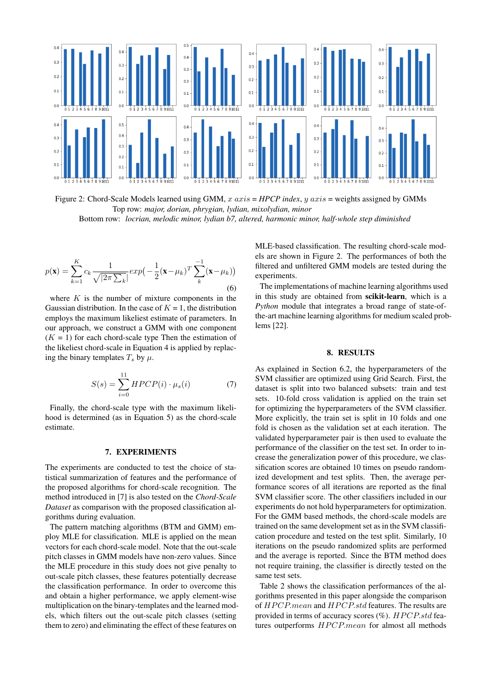

Figure 2: Chord-Scale Models learned using GMM, x axis = *HPCP index*, y axis = weights assigned by GMMs Top row: *major, dorian, phrygian, lydian, mixolydian, minor* Bottom row: *locrian, melodic minor, lydian b7, altered, harmonic minor, half-whole step diminished*

$$
p(\mathbf{x}) = \sum_{k=1}^{K} c_k \frac{1}{\sqrt{|2\pi \sum_k}} exp\left(-\frac{1}{2}(\mathbf{x} - \mu_k)^T \sum_{k=1}^{-1} (\mathbf{x} - \mu_k)\right)
$$
\n(6)

where  $K$  is the number of mixture components in the Gaussian distribution. In the case of  $K = 1$ , the distribution employs the maximum likeliest estimate of parameters. In our approach, we construct a GMM with one component  $(K = 1)$  for each chord-scale type Then the estimation of the likeliest chord-scale in Equation 4 is applied by replacing the binary templates  $T_s$  by  $\mu$ .

$$
S(s) = \sum_{i=0}^{11} HPCP(i) \cdot \mu_s(i) \tag{7}
$$

Finally, the chord-scale type with the maximum likelihood is determined (as in Equation 5) as the chord-scale estimate.

## 7. EXPERIMENTS

The experiments are conducted to test the choice of statistical summarization of features and the performance of the proposed algorithms for chord-scale recognition. The method introduced in [\[7\]](#page-6-6) is also tested on the *Chord-Scale Dataset* as comparison with the proposed classification algorithms during evaluation.

The pattern matching algorithms (BTM and GMM) employ MLE for classification. MLE is applied on the mean vectors for each chord-scale model. Note that the out-scale pitch classes in GMM models have non-zero values. Since the MLE procedure in this study does not give penalty to out-scale pitch classes, these features potentially decrease the classification performance. In order to overcome this and obtain a higher performance, we apply element-wise multiplication on the binary-templates and the learned models, which filters out the out-scale pitch classes (setting them to zero) and eliminating the effect of these features on

MLE-based classification. The resulting chord-scale models are shown in Figure 2. The performances of both the filtered and unfiltered GMM models are tested during the experiments.

The implementations of machine learning algorithms used in this study are obtained from scikit-learn, which is a *Python* module that integrates a broad range of state-ofthe-art machine learning algorithms for medium scaled problems [\[22\]](#page-7-1).

#### 8. RESULTS

As explained in Section 6.2, the hyperparameters of the SVM classifier are optimized using Grid Search. First, the dataset is split into two balanced subsets: train and test sets. 10-fold cross validation is applied on the train set for optimizing the hyperparameters of the SVM classifier. More explicitly, the train set is split in 10 folds and one fold is chosen as the validation set at each iteration. The validated hyperparameter pair is then used to evaluate the performance of the classifier on the test set. In order to increase the generalization power of this procedure, we classification scores are obtained 10 times on pseudo randomized development and test splits. Then, the average performance scores of all iterations are reported as the final SVM classifier score. The other classifiers included in our experiments do not hold hyperparameters for optimization. For the GMM based methods, the chord-scale models are trained on the same development set as in the SVM classification procedure and tested on the test split. Similarly, 10 iterations on the pseudo randomized splits are performed and the average is reported. Since the BTM method does not require training, the classifier is directly tested on the same test sets.

Table 2 shows the classification performances of the algorithms presented in this paper alongside the comparison of HPCP.mean and HPCP.std features. The results are provided in terms of accuracy scores  $(\%)$ . HPCP.std features outperforms  $HPCP-mean$  for almost all methods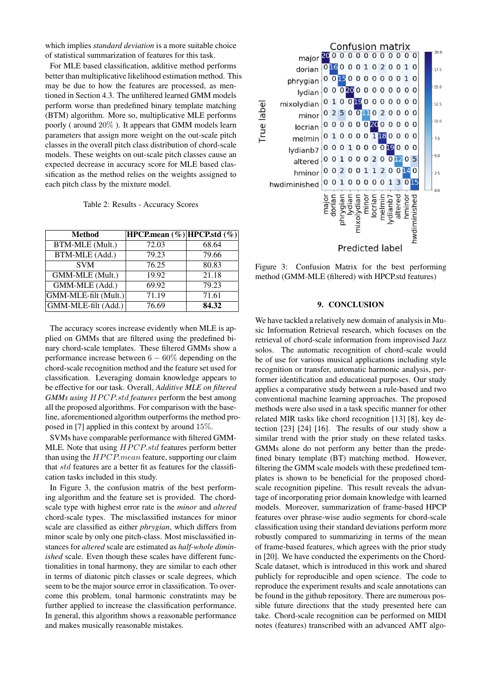which implies *standard deviation* is a more suitable choice of statistical summarization of features for this task.

For MLE based classification, additive method performs better than multiplicative likelihood estimation method. This may be due to how the features are processed, as mentioned in Section 4.3. The unfiltered learned GMM models perform worse than predefined binary template matching (BTM) algorithm. More so, multiplicative MLE performs poorly ( around 20% ). It appears that GMM models learn parameters that assign more weight on the out-scale pitch classes in the overall pitch class distribution of chord-scale models. These weights on out-scale pitch classes cause an expected decrease in accuracy score for MLE based classification as the method relies on the weights assigned to each pitch class by the mixture model.

|  |  | Table 2: Results - Accuracy Scores |  |
|--|--|------------------------------------|--|
|--|--|------------------------------------|--|

| <b>Method</b>          | HPCP.mean $(\%) $ HPCP.std $(\%) $ |       |
|------------------------|------------------------------------|-------|
| <b>BTM-MLE</b> (Mult.) | 72.03                              | 68.64 |
| BTM-MLE (Add.)         | 79.23                              | 79.66 |
| <b>SVM</b>             | 76.25                              | 80.83 |
| GMM-MLE (Mult.)        | 19.92                              | 21.18 |
| GMM-MLE (Add.)         | 69.92                              | 79.23 |
| GMM-MLE-filt (Mult.)   | 71.19                              | 71.61 |
| GMM-MLE-filt (Add.)    | 76.69                              | 84.32 |

The accuracy scores increase evidently when MLE is applied on GMMs that are filtered using the predefined binary chord-scale templates. These filtered GMMs show a performance increase between  $6 - 60\%$  depending on the chord-scale recognition method and the feature set used for classification. Leveraging domain knowledge appears to be effective for our task. Overall, *Additive MLE on filtered GMMs using HPCP.std features* perform the best among all the proposed algorithms. For comparison with the baseline, aforementioned algorithm outperforms the method proposed in [\[7\]](#page-6-6) applied in this context by around 15%.

SVMs have comparable performance with filtered GMM-MLE. Note that using  $HPCP<sub>std</sub>$  features perform better than using the  $HPCP$ , mean feature, supporting our claim that std features are a better fit as features for the classification tasks included in this study.

In Figure 3, the confusion matrix of the best performing algorithm and the feature set is provided. The chordscale type with highest error rate is the *minor* and *altered* chord-scale types. The misclassified instances for minor scale are classified as either *phrygian*, which differs from minor scale by only one pitch-class. Most misclassified instances for *altered* scale are estimated as *half-whole diminished* scale. Even though these scales have different functionalities in tonal harmony, they are similar to each other in terms of diatonic pitch classes or scale degrees, which seem to be the major source error in classification. To overcome this problem, tonal harmonic constratints may be further applied to increase the classification performance. In general, this algorithm shows a reasonable performance and makes musically reasonable mistakes.



Figure 3: Confusion Matrix for the best performing method (GMM-MLE (filtered) with HPCP.std features)

## 9. CONCLUSION

We have tackled a relatively new domain of analysis in Music Information Retrieval research, which focuses on the retrieval of chord-scale information from improvised Jazz solos. The automatic recognition of chord-scale would be of use for various musical applications including style recognition or transfer, automatic harmonic analysis, performer identification and educational purposes. Our study applies a comparative study between a rule-based and two conventional machine learning approaches. The proposed methods were also used in a task specific manner for other related MIR tasks like chord recognition [\[13\]](#page-6-12) [\[8\]](#page-6-7), key detection [\[23\]](#page-7-2) [\[24\]](#page-7-3) [\[16\]](#page-6-15). The results of our study show a similar trend with the prior study on these related tasks. GMMs alone do not perform any better than the predefined binary template (BT) matching method. However, filtering the GMM scale models with these predefined templates is shown to be beneficial for the proposed chordscale recognition pipeline. This result reveals the advantage of incorporating prior domain knowledge with learned models. Moreover, summarization of frame-based HPCP features over phrase-wise audio segments for chord-scale classification using their standard deviations perform more robustly compared to summarizing in terms of the mean of frame-based features, which agrees with the prior study in [\[20\]](#page-6-19). We have conducted the experiments on the Chord-Scale dataset, which is introduced in this work and shared publicly for reproducible and open science. The code to reproduce the experiment results and scale annotations can be found in the github repository. There are numerous possible future directions that the study presented here can take. Chord-scale recognition can be performed on MIDI notes (features) transcribed with an advanced AMT algo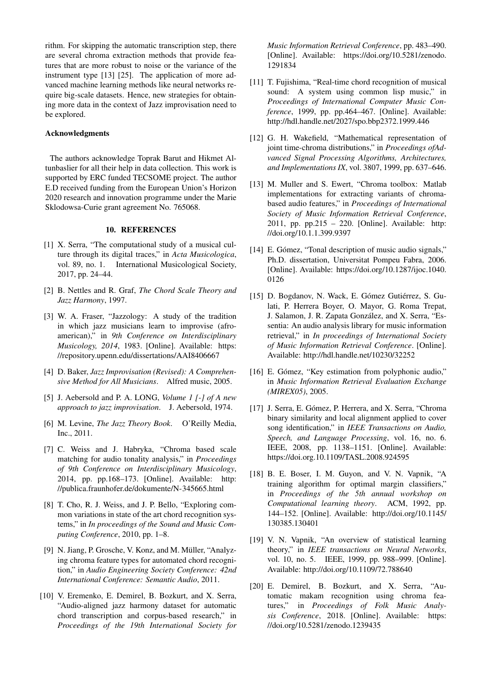rithm. For skipping the automatic transcription step, there are several chroma extraction methods that provide features that are more robust to noise or the variance of the instrument type [\[13\]](#page-6-12) [\[25\]](#page-7-4). The application of more advanced machine learning methods like neural networks require big-scale datasets. Hence, new strategies for obtaining more data in the context of Jazz improvisation need to be explored.

## Acknowledgments

The authors acknowledge Toprak Barut and Hikmet Altunbaslier for all their help in data collection. This work is supported by ERC funded TECSOME project. The author E.D received funding from the European Union's Horizon 2020 research and innovation programme under the Marie Sklodowsa-Curie grant agreement No. 765068.

# 10. REFERENCES

- <span id="page-6-0"></span>[1] X. Serra, "The computational study of a musical culture through its digital traces," in *Acta Musicologica*, vol. 89, no. 1. International Musicological Society, 2017, pp. 24–44.
- <span id="page-6-1"></span>[2] B. Nettles and R. Graf, *The Chord Scale Theory and Jazz Harmony*, 1997.
- <span id="page-6-2"></span>[3] W. A. Fraser, "Jazzology: A study of the tradition in which jazz musicians learn to improvise (afroamerican)," in *9th Conference on Interdisciplinary Musicology, 2014*, 1983. [Online]. Available: [https:](https://repository.upenn.edu/dissertations/AAI8406667) [//repository.upenn.edu/dissertations/AAI8406667](https://repository.upenn.edu/dissertations/AAI8406667)
- <span id="page-6-3"></span>[4] D. Baker, *Jazz Improvisation (Revised): A Comprehensive Method for All Musicians*. Alfred music, 2005.
- <span id="page-6-4"></span>[5] J. Aebersold and P. A. LONG, *Volume 1 [-] of A new approach to jazz improvisation*. J. Aebersold, 1974.
- <span id="page-6-5"></span>[6] M. Levine, *The Jazz Theory Book*. O'Reilly Media, Inc., 2011.
- <span id="page-6-6"></span>[7] C. Weiss and J. Habryka, "Chroma based scale matching for audio tonality analysis," in *Proceedings of 9th Conference on Interdisciplinary Musicology*, 2014, pp. pp.168–173. [Online]. Available: [http:](http://publica.fraunhofer.de/dokumente/N-345665.html) [//publica.fraunhofer.de/dokumente/N-345665.html](http://publica.fraunhofer.de/dokumente/N-345665.html)
- <span id="page-6-7"></span>[8] T. Cho, R. J. Weiss, and J. P. Bello, "Exploring common variations in state of the art chord recognition systems," in *In proceedings of the Sound and Music Computing Conference*, 2010, pp. 1–8.
- <span id="page-6-8"></span>[9] N. Jiang, P. Grosche, V. Konz, and M. Müller, "Analyzing chroma feature types for automated chord recognition," in *Audio Engineering Society Conference: 42nd International Conference: Semantic Audio*, 2011.
- <span id="page-6-9"></span>[10] V. Eremenko, E. Demirel, B. Bozkurt, and X. Serra, "Audio-aligned jazz harmony dataset for automatic chord transcription and corpus-based research," in *Proceedings of the 19th International Society for*

*Music Information Retrieval Conference*, pp. 483–490. [Online]. Available: [https://doi.org/10.5281/zenodo.](https://doi.org/10.5281/zenodo.1291834) [1291834](https://doi.org/10.5281/zenodo.1291834)

- <span id="page-6-10"></span>[11] T. Fujishima, "Real-time chord recognition of musical sound: A system using common lisp music," in *Proceedings of International Computer Music Conference*, 1999, pp. pp.464–467. [Online]. Available: <http://hdl.handle.net/2027/spo.bbp2372.1999.446>
- <span id="page-6-11"></span>[12] G. H. Wakefield, "Mathematical representation of joint time-chroma distributions," in *Proceedings ofAdvanced Signal Processing Algorithms, Architectures, and Implementations IX*, vol. 3807, 1999, pp. 637–646.
- <span id="page-6-12"></span>[13] M. Muller and S. Ewert, "Chroma toolbox: Matlab implementations for extracting variants of chromabased audio features," in *Proceedings of International Society of Music Information Retrieval Conference*, 2011, pp. pp.215 – 220. [Online]. Available: [http:](http://doi.org/10.1.1.399.9397) [//doi.org/10.1.1.399.9397](http://doi.org/10.1.1.399.9397)
- <span id="page-6-13"></span>[14] E. Gómez, "Tonal description of music audio signals," Ph.D. dissertation, Universitat Pompeu Fabra, 2006. [Online]. Available: [https://doi.org/10.1287/ijoc.1040.](https://doi.org/10.1287/ijoc.1040.0126) [0126](https://doi.org/10.1287/ijoc.1040.0126)
- <span id="page-6-14"></span>[15] D. Bogdanov, N. Wack, E. Gómez Gutiérrez, S. Gulati, P. Herrera Boyer, O. Mayor, G. Roma Trepat, J. Salamon, J. R. Zapata Gonzalez, and X. Serra, "Es- ´ sentia: An audio analysis library for music information retrieval," in *In proceedings of International Society of Music Information Retrieval Conference*. [Online]. Available: <http://hdl.handle.net/10230/32252>
- <span id="page-6-15"></span>[16] E. Gómez, "Key estimation from polyphonic audio," in *Music Information Retrieval Evaluation Exchange (MIREX05)*, 2005.
- <span id="page-6-16"></span>[17] J. Serra, E. Gómez, P. Herrera, and X. Serra, "Chroma binary similarity and local alignment applied to cover song identification," in *IEEE Transactions on Audio, Speech, and Language Processing*, vol. 16, no. 6. IEEE, 2008, pp. 1138–1151. [Online]. Available: <https://doi.org.10.1109/TASL.2008.924595>
- <span id="page-6-17"></span>[18] B. E. Boser, I. M. Guyon, and V. N. Vapnik, "A training algorithm for optimal margin classifiers," in *Proceedings of the 5th annual workshop on Computational learning theory*. ACM, 1992, pp. 144–152. [Online]. Available: [http://doi.org/10.1145/](http://doi.org/10.1145/130385.130401) [130385.130401](http://doi.org/10.1145/130385.130401)
- <span id="page-6-18"></span>[19] V. N. Vapnik, "An overview of statistical learning theory," in *IEEE transactions on Neural Networks*, vol. 10, no. 5. IEEE, 1999, pp. 988–999. [Online]. Available: <http://doi.org/10.1109/72.788640>
- <span id="page-6-19"></span>[20] E. Demirel, B. Bozkurt, and X. Serra, "Automatic makam recognition using chroma features," in *Proceedings of Folk Music Analysis Conference*, 2018. [Online]. Available: [https:](https://doi.org/10.5281/zenodo.1239435) [//doi.org/10.5281/zenodo.1239435](https://doi.org/10.5281/zenodo.1239435)